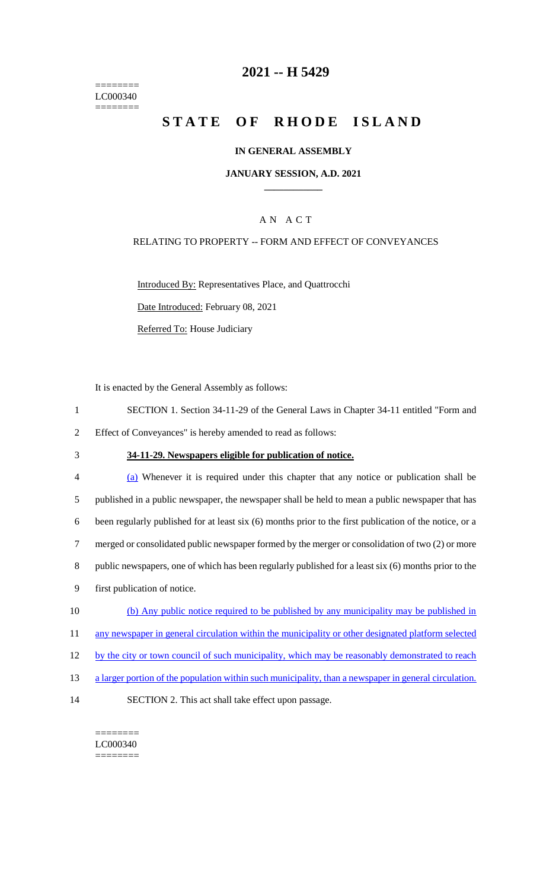======== LC000340  $=$ 

## **2021 -- H 5429**

# **STATE OF RHODE ISLAND**

### **IN GENERAL ASSEMBLY**

#### **JANUARY SESSION, A.D. 2021 \_\_\_\_\_\_\_\_\_\_\_\_**

## A N A C T

### RELATING TO PROPERTY -- FORM AND EFFECT OF CONVEYANCES

Introduced By: Representatives Place, and Quattrocchi Date Introduced: February 08, 2021 Referred To: House Judiciary

It is enacted by the General Assembly as follows:

- 1 SECTION 1. Section 34-11-29 of the General Laws in Chapter 34-11 entitled "Form and 2 Effect of Conveyances" is hereby amended to read as follows:
- 

## 3 **34-11-29. Newspapers eligible for publication of notice.**

| $\overline{4}$ | (a) Whenever it is required under this chapter that any notice or publication shall be                  |
|----------------|---------------------------------------------------------------------------------------------------------|
| 5              | published in a public newspaper, the newspaper shall be held to mean a public newspaper that has        |
| 6              | been regularly published for at least six (6) months prior to the first publication of the notice, or a |
|                | merged or consolidated public newspaper formed by the merger or consolidation of two (2) or more        |
| 8              | public newspapers, one of which has been regularly published for a least six (6) months prior to the    |
| 9              | first publication of notice.                                                                            |
| 10             | (b) Any public notice required to be published by any municipality may be published in                  |
|                |                                                                                                         |

- 11 any newspaper in general circulation within the municipality or other designated platform selected
- 12 by the city or town council of such municipality, which may be reasonably demonstrated to reach
- 13 a larger portion of the population within such municipality, than a newspaper in general circulation.
- 14 SECTION 2. This act shall take effect upon passage.

======== LC000340 ========